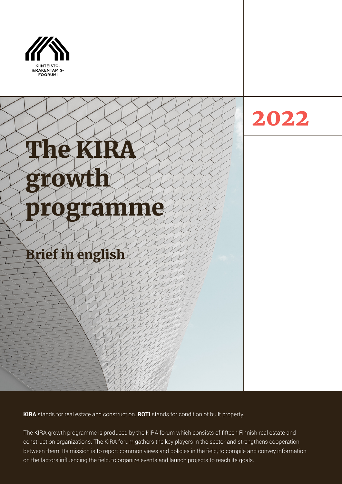



**KIRA** stands for real estate and construction. **ROTI** stands for condition of built property.

The KIRA growth programme is produced by the KIRA forum which consists of fifteen Finnish real estate and construction organizations. The KIRA forum gathers the key players in the sector and strengthens cooperation between them. Its mission is to report common views and policies in the field, to compile and convey information on the factors influencing the field, to organize events and launch projects to reach its goals.

2022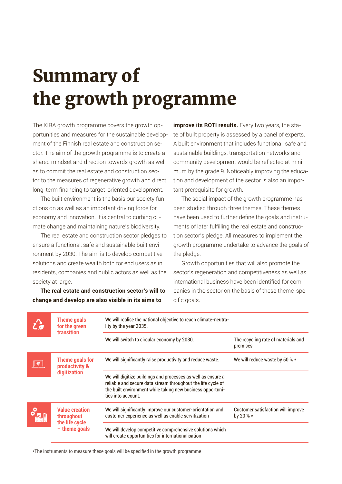# Summary of the growth programme

The KIRA growth programme covers the growth opportunities and measures for the sustainable development of the Finnish real estate and construction sector. The aim of the growth programme is to create a shared mindset and direction towards growth as well as to commit the real estate and construction sector to the measures of regenerative growth and direct long-term financing to target-oriented development.

The built environment is the basis our society functions on as well as an important driving force for economy and innovation. It is central to curbing climate change and maintaining nature's biodiversity.

The real estate and construction sector pledges to ensure a functional, safe and sustainable built environment by 2030. The aim is to develop competitive solutions and create wealth both for end users as in residents, companies and public actors as well as the society at large.

**The real estate and construction sector's will to change and develop are also visible in its aims to** 

**improve its ROTI results.** Every two years, the state of built property is assessed by a panel of experts. A built environment that includes functional, safe and sustainable buildings, transportation networks and community development would be reflected at minimum by the grade 9. Noticeably improving the education and development of the sector is also an important prerequisite for growth.

The social impact of the growth programme has been studied through three themes. These themes have been used to further define the goals and instruments of later fulfilling the real estate and construction sector's pledge. All measures to implement the growth programme undertake to advance the goals of the pledge.

Growth opportunities that will also promote the sector's regeneration and competitiveness as well as international business have been identified for companies in the sector on the basis of these theme-specific goals.

|  | <b>Theme goals</b><br>for the green<br><b>transition</b>                 | We will realise the national objective to reach climate-neutra-<br>lity by the year 2035.                                                                                                                        |                                                        |
|--|--------------------------------------------------------------------------|------------------------------------------------------------------------------------------------------------------------------------------------------------------------------------------------------------------|--------------------------------------------------------|
|  |                                                                          | We will switch to circular economy by 2030.                                                                                                                                                                      | The recycling rate of materials and<br>premises        |
|  | Theme goals for<br>productivity &<br>digitization                        | We will significantly raise productivity and reduce waste.                                                                                                                                                       | We will reduce waste by 50 % $\star$                   |
|  |                                                                          | We will digitize buildings and processes as well as ensure a<br>reliable and secure data stream throughout the life cycle of<br>the built environment while taking new business opportuni-<br>ties into account. |                                                        |
|  | <b>Value creation</b><br>throughout<br>the life cycle<br>$-$ theme goals | We will significantly improve our customer-orientation and<br>customer experience as well as enable servitization                                                                                                | <b>Customer satisfaction will improve</b><br>by 20 % * |
|  |                                                                          | We will develop competitive comprehensive solutions which<br>will create opportunities for internationalisation                                                                                                  |                                                        |

\*The instruments to measure these goals will be specified in the growth programme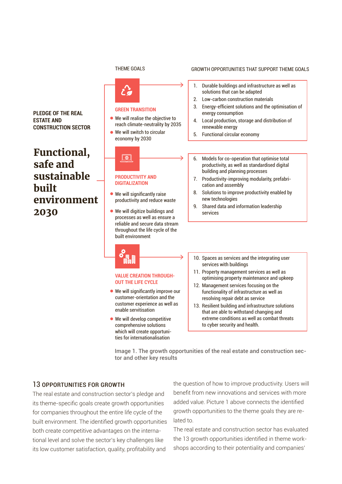$\mathcal{L}$ 

**GREEN TRANSITION**

● We will switch to circular economy by 2030

We will realise the objective to reach climate-neutrality by 2035

#### THEME GOALS GROWTH OPPORTUNITIES THAT SUPPORT THEME GOALS

1. Durable buildings and infrastructure as well as solutions that can be adapted

- 2. Low-carbon construction materials
- 3. Energy-efficient solutions and the optimisation of energy consumption
- 4. Local production, storage and distribution of renewable energy
- 5. Functional circular economy
- 6. Models for co-operation that optimise total productivity, as well as standardised digital building and planning processes
- 7. Productivity-improving modularity, prefabrication and assembly
- 8. Solutions to improve productivity enabled by new technologies
- 9. Shared data and information leadership services
- $\bullet$  We will significantly raise productivity and reduce waste We will digitize buildings and

**PRODUCTIVITY AND DIGITALIZATION**

 $\boxed{\oplus}$ 

processes as well as ensure a reliable and secure data stream throughout the life cycle of the built environment

#### **VALUE CREATION THROUGH-OUT THE LIFE CYCLE**

- We will significantly improve our customer-orientation and the customer experience as well as enable servitisation
- We will develop competitive comprehensive solutions which will create opportunities for internationalisation
- 10. Spaces as services and the integrating user services with buildings
- 11. Property management services as well as optimising property maintenance and upkeep
- 12. Management services focusing on the functionality of infrastructure as well as resolving repair debt as service
- 13. Resilient building and infrastructure solutions that are able to withstand changing and extreme conditions as well as combat threats to cyber security and health.

Image 1. The growth opportunities of the real estate and construction sector and other key results

### 13 OPPORTUNITIES FOR GROWTH

The real estate and construction sector's pledge and its theme-specific goals create growth opportunities for companies throughout the entire life cycle of the built environment. The identified growth opportunities both create competitive advantages on the international level and solve the sector's key challenges like its low customer satisfaction, quality, profitability and

the question of how to improve productivity. Users will benefit from new innovations and services with more added value. Picture 1 above connects the identified growth opportunities to the theme goals they are related to.

The real estate and construction sector has evaluated the 13 growth opportunities identified in theme workshops according to their potentiality and companies'

**PLEDGE OF THE REAL ESTATE AND CONSTRUCTION SECTOR**

## Functional, safe and sustainable built environment 2030